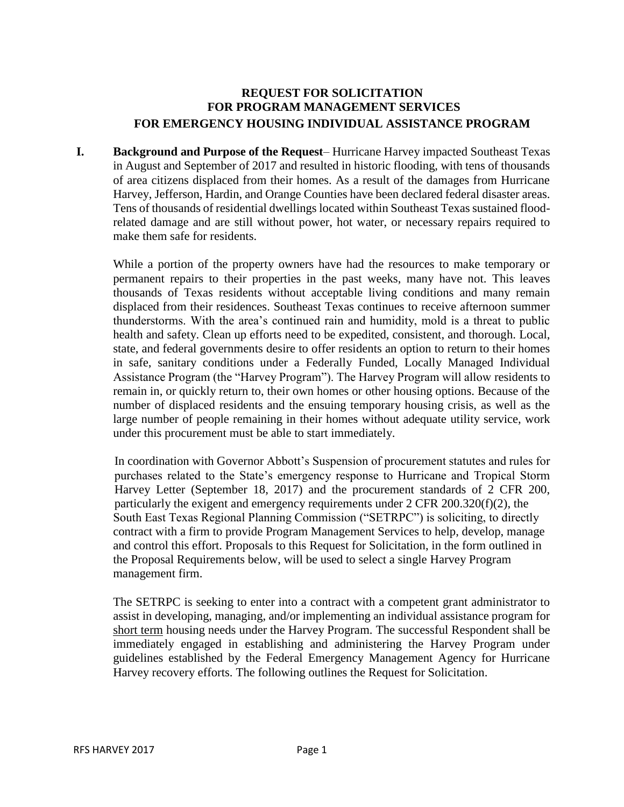## **REQUEST FOR SOLICITATION FOR PROGRAM MANAGEMENT SERVICES FOR EMERGENCY HOUSING INDIVIDUAL ASSISTANCE PROGRAM**

**I. Background and Purpose of the Request**– Hurricane Harvey impacted Southeast Texas in August and September of 2017 and resulted in historic flooding, with tens of thousands of area citizens displaced from their homes. As a result of the damages from Hurricane Harvey, Jefferson, Hardin, and Orange Counties have been declared federal disaster areas. Tens of thousands of residential dwellings located within Southeast Texas sustained floodrelated damage and are still without power, hot water, or necessary repairs required to make them safe for residents.

While a portion of the property owners have had the resources to make temporary or permanent repairs to their properties in the past weeks, many have not. This leaves thousands of Texas residents without acceptable living conditions and many remain displaced from their residences. Southeast Texas continues to receive afternoon summer thunderstorms. With the area's continued rain and humidity, mold is a threat to public health and safety. Clean up efforts need to be expedited, consistent, and thorough. Local, state, and federal governments desire to offer residents an option to return to their homes in safe, sanitary conditions under a Federally Funded, Locally Managed Individual Assistance Program (the "Harvey Program"). The Harvey Program will allow residents to remain in, or quickly return to, their own homes or other housing options. Because of the number of displaced residents and the ensuing temporary housing crisis, as well as the large number of people remaining in their homes without adequate utility service, work under this procurement must be able to start immediately.

In coordination with Governor Abbott's Suspension of procurement statutes and rules for purchases related to the State's emergency response to Hurricane and Tropical Storm Harvey Letter (September 18, 2017) and the procurement standards of 2 CFR 200, particularly the exigent and emergency requirements under 2 CFR 200.320(f)(2), the South East Texas Regional Planning Commission ("SETRPC") is soliciting, to directly contract with a firm to provide Program Management Services to help, develop, manage and control this effort. Proposals to this Request for Solicitation, in the form outlined in the Proposal Requirements below, will be used to select a single Harvey Program management firm.

The SETRPC is seeking to enter into a contract with a competent grant administrator to assist in developing, managing, and/or implementing an individual assistance program for short term housing needs under the Harvey Program. The successful Respondent shall be immediately engaged in establishing and administering the Harvey Program under guidelines established by the Federal Emergency Management Agency for Hurricane Harvey recovery efforts. The following outlines the Request for Solicitation.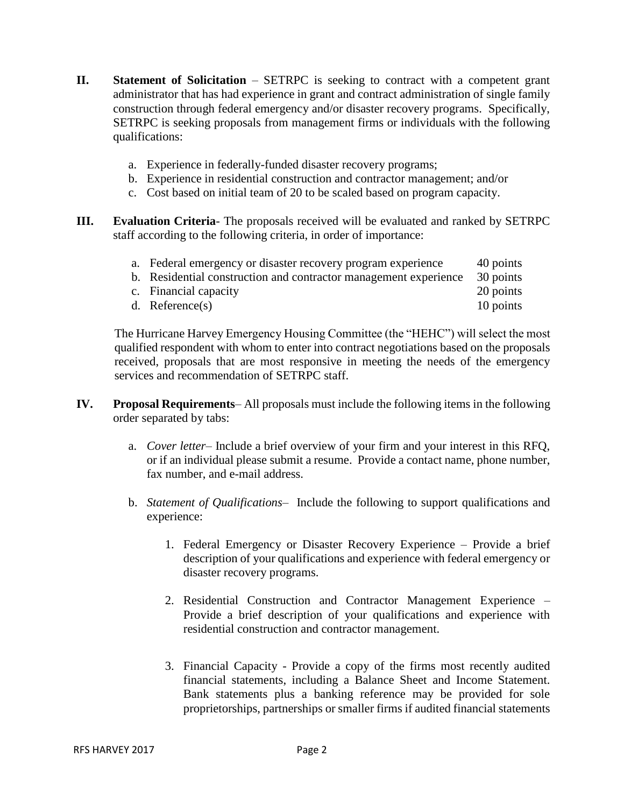- **II. Statement of Solicitation**  SETRPC is seeking to contract with a competent grant administrator that has had experience in grant and contract administration of single family construction through federal emergency and/or disaster recovery programs. Specifically, SETRPC is seeking proposals from management firms or individuals with the following qualifications:
	- a. Experience in federally-funded disaster recovery programs;
	- b. Experience in residential construction and contractor management; and/or
	- c. Cost based on initial team of 20 to be scaled based on program capacity.
- **III. Evaluation Criteria** The proposals received will be evaluated and ranked by SETRPC staff according to the following criteria, in order of importance:

| a. Federal emergency or disaster recovery program experience     | 40 points |
|------------------------------------------------------------------|-----------|
| b. Residential construction and contractor management experience | 30 points |
| c. Financial capacity                                            | 20 points |
| d. Reference $(s)$                                               | 10 points |

The Hurricane Harvey Emergency Housing Committee (the "HEHC") will select the most qualified respondent with whom to enter into contract negotiations based on the proposals received, proposals that are most responsive in meeting the needs of the emergency services and recommendation of SETRPC staff.

- **IV. Proposal Requirements** All proposals must include the following items in the following order separated by tabs:
	- a. *Cover letter* Include a brief overview of your firm and your interest in this RFQ, or if an individual please submit a resume. Provide a contact name, phone number, fax number, and e-mail address.
	- b. *Statement of Qualifications* Include the following to support qualifications and experience:
		- 1. Federal Emergency or Disaster Recovery Experience Provide a brief description of your qualifications and experience with federal emergency or disaster recovery programs.
		- 2. Residential Construction and Contractor Management Experience Provide a brief description of your qualifications and experience with residential construction and contractor management.
		- 3. Financial Capacity Provide a copy of the firms most recently audited financial statements, including a Balance Sheet and Income Statement. Bank statements plus a banking reference may be provided for sole proprietorships, partnerships or smaller firms if audited financial statements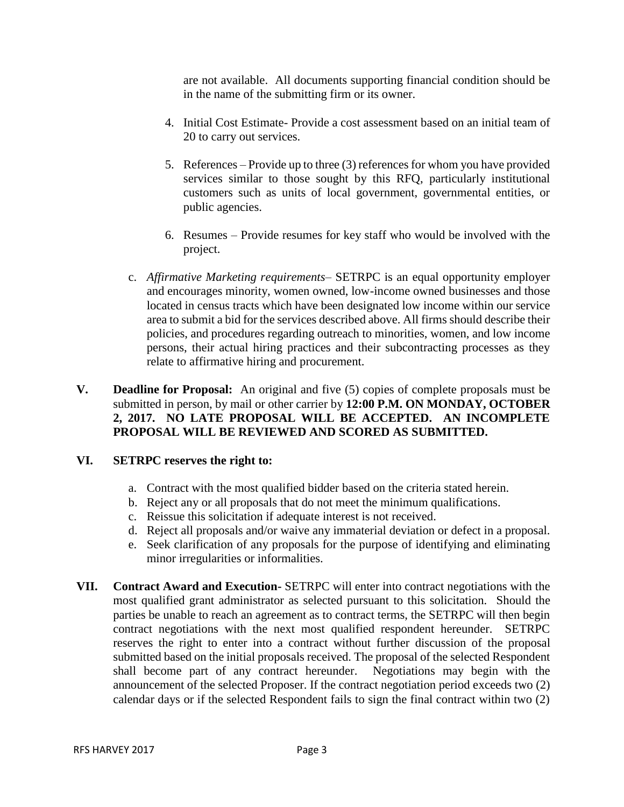are not available. All documents supporting financial condition should be in the name of the submitting firm or its owner.

- 4. Initial Cost Estimate- Provide a cost assessment based on an initial team of 20 to carry out services.
- 5. References Provide up to three (3) references for whom you have provided services similar to those sought by this RFQ, particularly institutional customers such as units of local government, governmental entities, or public agencies.
- 6. Resumes Provide resumes for key staff who would be involved with the project.
- c. *Affirmative Marketing requirements* SETRPC is an equal opportunity employer and encourages minority, women owned, low-income owned businesses and those located in census tracts which have been designated low income within our service area to submit a bid for the services described above. All firms should describe their policies, and procedures regarding outreach to minorities, women, and low income persons, their actual hiring practices and their subcontracting processes as they relate to affirmative hiring and procurement.
- **V. Deadline for Proposal:** An original and five (5) copies of complete proposals must be submitted in person, by mail or other carrier by **12:00 P.M. ON MONDAY, OCTOBER 2, 2017. NO LATE PROPOSAL WILL BE ACCEPTED. AN INCOMPLETE PROPOSAL WILL BE REVIEWED AND SCORED AS SUBMITTED.**

## **VI. SETRPC reserves the right to:**

- a. Contract with the most qualified bidder based on the criteria stated herein.
- b. Reject any or all proposals that do not meet the minimum qualifications.
- c. Reissue this solicitation if adequate interest is not received.
- d. Reject all proposals and/or waive any immaterial deviation or defect in a proposal.
- e. Seek clarification of any proposals for the purpose of identifying and eliminating minor irregularities or informalities.
- **VII. Contract Award and Execution-** SETRPC will enter into contract negotiations with the most qualified grant administrator as selected pursuant to this solicitation. Should the parties be unable to reach an agreement as to contract terms, the SETRPC will then begin contract negotiations with the next most qualified respondent hereunder. SETRPC reserves the right to enter into a contract without further discussion of the proposal submitted based on the initial proposals received. The proposal of the selected Respondent shall become part of any contract hereunder. Negotiations may begin with the announcement of the selected Proposer. If the contract negotiation period exceeds two (2) calendar days or if the selected Respondent fails to sign the final contract within two (2)